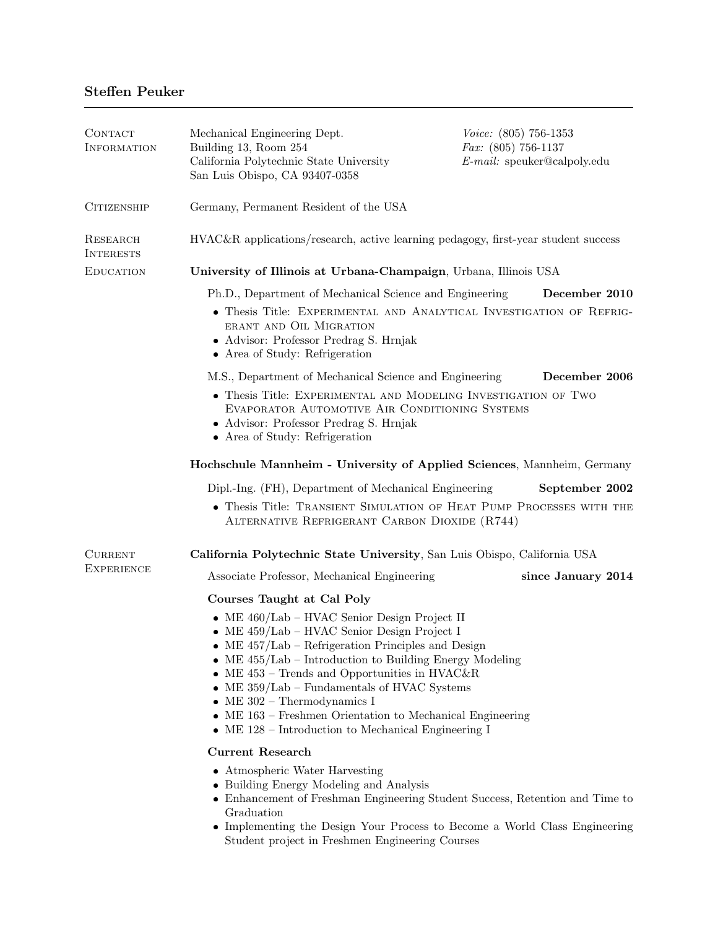# Steffen Peuker

| CONTACT<br>INFORMATION       | Mechanical Engineering Dept.<br>Building 13, Room 254<br>California Polytechnic State University<br>San Luis Obispo, CA 93407-0358                                                                                                                                                                                                                                                                                                                                                 | Voice: (805) 756-1353<br><i>Fax:</i> $(805)$ 756-1137<br>$E$ -mail: speuker@calpoly.edu |  |
|------------------------------|------------------------------------------------------------------------------------------------------------------------------------------------------------------------------------------------------------------------------------------------------------------------------------------------------------------------------------------------------------------------------------------------------------------------------------------------------------------------------------|-----------------------------------------------------------------------------------------|--|
| <b>CITIZENSHIP</b>           | Germany, Permanent Resident of the USA                                                                                                                                                                                                                                                                                                                                                                                                                                             |                                                                                         |  |
| RESEARCH<br><b>INTERESTS</b> | HVAC&R applications/research, active learning pedagogy, first-year student success                                                                                                                                                                                                                                                                                                                                                                                                 |                                                                                         |  |
| <b>EDUCATION</b>             | University of Illinois at Urbana-Champaign, Urbana, Illinois USA                                                                                                                                                                                                                                                                                                                                                                                                                   |                                                                                         |  |
|                              | Ph.D., Department of Mechanical Science and Engineering<br>• Thesis Title: EXPERIMENTAL AND ANALYTICAL INVESTIGATION OF REFRIG-<br>ERANT AND OIL MIGRATION<br>• Advisor: Professor Predrag S. Hrnjak<br>• Area of Study: Refrigeration                                                                                                                                                                                                                                             | December 2010                                                                           |  |
|                              | M.S., Department of Mechanical Science and Engineering                                                                                                                                                                                                                                                                                                                                                                                                                             | December 2006                                                                           |  |
|                              | • Thesis Title: EXPERIMENTAL AND MODELING INVESTIGATION OF TWO<br>EVAPORATOR AUTOMOTIVE AIR CONDITIONING SYSTEMS<br>• Advisor: Professor Predrag S. Hrnjak<br>• Area of Study: Refrigeration                                                                                                                                                                                                                                                                                       |                                                                                         |  |
|                              | Hochschule Mannheim - University of Applied Sciences, Mannheim, Germany                                                                                                                                                                                                                                                                                                                                                                                                            |                                                                                         |  |
|                              | Dipl.-Ing. (FH), Department of Mechanical Engineering                                                                                                                                                                                                                                                                                                                                                                                                                              | September 2002                                                                          |  |
|                              | • Thesis Title: TRANSIENT SIMULATION OF HEAT PUMP PROCESSES WITH THE<br>ALTERNATIVE REFRIGERANT CARBON DIOXIDE (R744)                                                                                                                                                                                                                                                                                                                                                              |                                                                                         |  |
| <b>CURRENT</b>               | California Polytechnic State University, San Luis Obispo, California USA                                                                                                                                                                                                                                                                                                                                                                                                           |                                                                                         |  |
| <b>EXPERIENCE</b>            | Associate Professor, Mechanical Engineering                                                                                                                                                                                                                                                                                                                                                                                                                                        | since January 2014                                                                      |  |
|                              | Courses Taught at Cal Poly                                                                                                                                                                                                                                                                                                                                                                                                                                                         |                                                                                         |  |
|                              | • ME $460/Lab$ – HVAC Senior Design Project II<br>• ME $459/\text{Lab}$ – HVAC Senior Design Project I<br>• ME $457/Lab$ – Refrigeration Principles and Design<br>• ME $455/Lab$ – Introduction to Building Energy Modeling<br>$ME$ 453 – Trends and Opportunities in HVAC&R<br>• ME $359/Lab$ – Fundamentals of HVAC Systems<br>$ME 302 - Thermodynamics I$<br>• ME 163 – Freshmen Orientation to Mechanical Engineering<br>• ME $128$ – Introduction to Mechanical Engineering I |                                                                                         |  |
|                              | <b>Current Research</b>                                                                                                                                                                                                                                                                                                                                                                                                                                                            |                                                                                         |  |
|                              | • Atmospheric Water Harvesting<br>• Building Energy Modeling and Analysis<br>• Enhancement of Freshman Engineering Student Success, Retention and Time to<br>Graduation<br>• Implementing the Design Your Process to Become a World Class Engineering                                                                                                                                                                                                                              |                                                                                         |  |

Student project in Freshmen Engineering Courses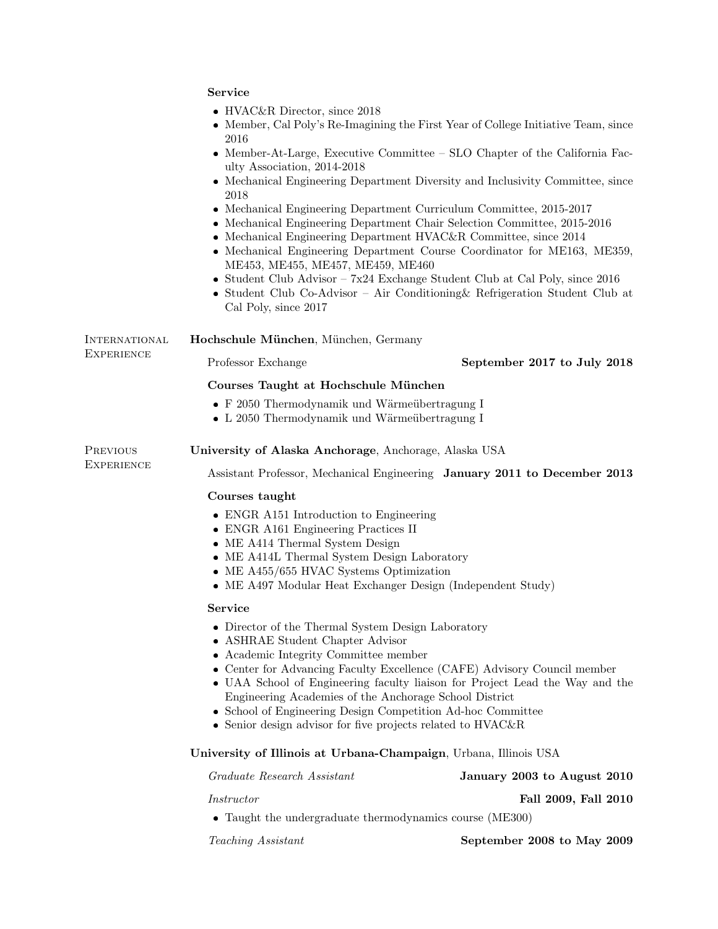|                        | <b>Service</b>                                                                                                                                                                                                                                                                                                                                                                                                                                                                              |                                                                                                                                                                                                                                                                                                                                                                                                                                                                  |  |
|------------------------|---------------------------------------------------------------------------------------------------------------------------------------------------------------------------------------------------------------------------------------------------------------------------------------------------------------------------------------------------------------------------------------------------------------------------------------------------------------------------------------------|------------------------------------------------------------------------------------------------------------------------------------------------------------------------------------------------------------------------------------------------------------------------------------------------------------------------------------------------------------------------------------------------------------------------------------------------------------------|--|
|                        | • HVAC&R Director, since $2018$<br>2016                                                                                                                                                                                                                                                                                                                                                                                                                                                     | • Member, Cal Poly's Re-Imagining the First Year of College Initiative Team, since                                                                                                                                                                                                                                                                                                                                                                               |  |
|                        | ulty Association, 2014-2018                                                                                                                                                                                                                                                                                                                                                                                                                                                                 | • Member-At-Large, Executive Committee – SLO Chapter of the California Fac-                                                                                                                                                                                                                                                                                                                                                                                      |  |
|                        | • Mechanical Engineering Department Diversity and Inclusivity Committee, since<br>2018                                                                                                                                                                                                                                                                                                                                                                                                      |                                                                                                                                                                                                                                                                                                                                                                                                                                                                  |  |
|                        | ME453, ME455, ME457, ME459, ME460<br>Cal Poly, since 2017                                                                                                                                                                                                                                                                                                                                                                                                                                   | • Mechanical Engineering Department Curriculum Committee, 2015-2017<br>• Mechanical Engineering Department Chair Selection Committee, 2015-2016<br>• Mechanical Engineering Department HVAC&R Committee, since 2014<br>• Mechanical Engineering Department Course Coordinator for ME163, ME359,<br>• Student Club Advisor – $7x24$ Exchange Student Club at Cal Poly, since 2016<br>• Student Club Co-Advisor - Air Conditioning & Refrigeration Student Club at |  |
| INTERNATIONAL          | Hochschule München, München, Germany                                                                                                                                                                                                                                                                                                                                                                                                                                                        |                                                                                                                                                                                                                                                                                                                                                                                                                                                                  |  |
| EXPERIENCE             | Professor Exchange                                                                                                                                                                                                                                                                                                                                                                                                                                                                          | September 2017 to July 2018                                                                                                                                                                                                                                                                                                                                                                                                                                      |  |
|                        | Courses Taught at Hochschule München                                                                                                                                                                                                                                                                                                                                                                                                                                                        |                                                                                                                                                                                                                                                                                                                                                                                                                                                                  |  |
|                        | • F 2050 Thermodynamik und Wärmeübertragung I<br>• L 2050 Thermodynamik und Wärmeübertragung I                                                                                                                                                                                                                                                                                                                                                                                              |                                                                                                                                                                                                                                                                                                                                                                                                                                                                  |  |
| PREVIOUS<br>EXPERIENCE | University of Alaska Anchorage, Anchorage, Alaska USA                                                                                                                                                                                                                                                                                                                                                                                                                                       |                                                                                                                                                                                                                                                                                                                                                                                                                                                                  |  |
|                        | Assistant Professor, Mechanical Engineering January 2011 to December 2013                                                                                                                                                                                                                                                                                                                                                                                                                   |                                                                                                                                                                                                                                                                                                                                                                                                                                                                  |  |
|                        | Courses taught                                                                                                                                                                                                                                                                                                                                                                                                                                                                              |                                                                                                                                                                                                                                                                                                                                                                                                                                                                  |  |
|                        | • ENGR A151 Introduction to Engineering<br>• ENGR A161 Engineering Practices II<br>• ME A414 Thermal System Design<br>• ME A414L Thermal System Design Laboratory<br>• ME A455/655 HVAC Systems Optimization<br>• ME A497 Modular Heat Exchanger Design (Independent Study)                                                                                                                                                                                                                 |                                                                                                                                                                                                                                                                                                                                                                                                                                                                  |  |
|                        |                                                                                                                                                                                                                                                                                                                                                                                                                                                                                             |                                                                                                                                                                                                                                                                                                                                                                                                                                                                  |  |
|                        | Service                                                                                                                                                                                                                                                                                                                                                                                                                                                                                     |                                                                                                                                                                                                                                                                                                                                                                                                                                                                  |  |
|                        | • Director of the Thermal System Design Laboratory<br>• ASHRAE Student Chapter Advisor<br>• Academic Integrity Committee member<br>• Center for Advancing Faculty Excellence (CAFE) Advisory Council member<br>• UAA School of Engineering faculty liaison for Project Lead the Way and the<br>Engineering Academies of the Anchorage School District<br>• School of Engineering Design Competition Ad-hoc Committee<br>$\bullet$ Senior design advisor for five projects related to HVAC&R |                                                                                                                                                                                                                                                                                                                                                                                                                                                                  |  |
|                        | University of Illinois at Urbana-Champaign, Urbana, Illinois USA                                                                                                                                                                                                                                                                                                                                                                                                                            |                                                                                                                                                                                                                                                                                                                                                                                                                                                                  |  |
|                        | Graduate Research Assistant                                                                                                                                                                                                                                                                                                                                                                                                                                                                 | January 2003 to August 2010                                                                                                                                                                                                                                                                                                                                                                                                                                      |  |
|                        | Instructor<br>• Taught the undergraduate thermodynamics course (ME300)                                                                                                                                                                                                                                                                                                                                                                                                                      | Fall 2009, Fall 2010                                                                                                                                                                                                                                                                                                                                                                                                                                             |  |
|                        | Teaching Assistant                                                                                                                                                                                                                                                                                                                                                                                                                                                                          | September 2008 to May 2009                                                                                                                                                                                                                                                                                                                                                                                                                                       |  |
|                        |                                                                                                                                                                                                                                                                                                                                                                                                                                                                                             |                                                                                                                                                                                                                                                                                                                                                                                                                                                                  |  |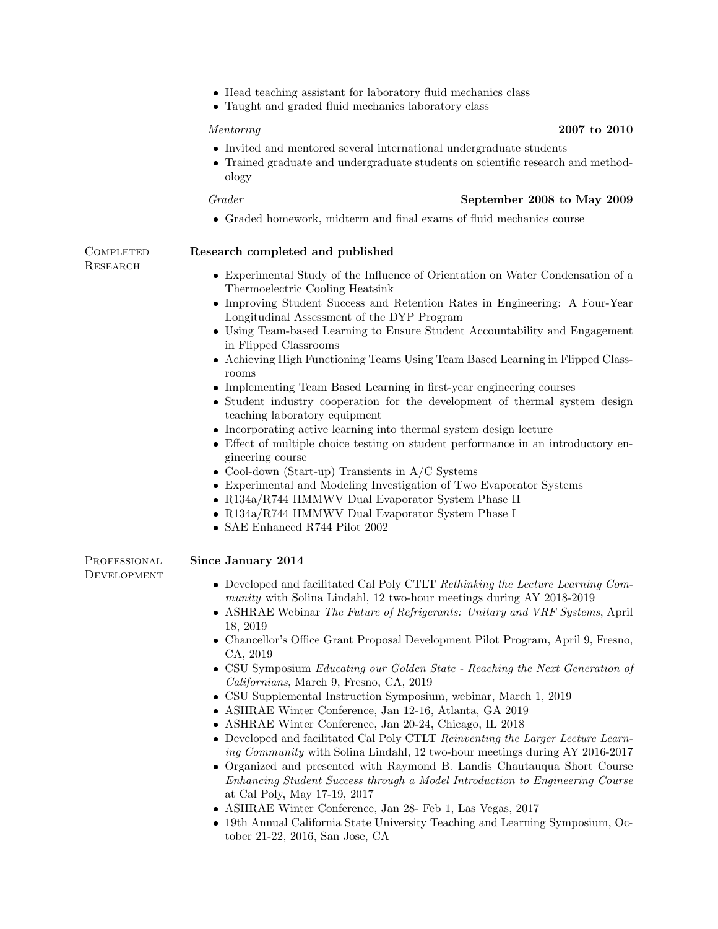- Head teaching assistant for laboratory fluid mechanics class
- Taught and graded fluid mechanics laboratory class

- Invited and mentored several international undergraduate students
- Trained graduate and undergraduate students on scientific research and methodology

# Grader September 2008 to May 2009

Graded homework, midterm and final exams of fluid mechanics course

**RESEARCH** 

# COMPLETED Research completed and published

- Experimental Study of the Influence of Orientation on Water Condensation of a Thermoelectric Cooling Heatsink
- Improving Student Success and Retention Rates in Engineering: A Four-Year Longitudinal Assessment of the DYP Program
- Using Team-based Learning to Ensure Student Accountability and Engagement in Flipped Classrooms
- Achieving High Functioning Teams Using Team Based Learning in Flipped Classrooms
- Implementing Team Based Learning in first-year engineering courses
- Student industry cooperation for the development of thermal system design teaching laboratory equipment
- Incorporating active learning into thermal system design lecture
- Effect of multiple choice testing on student performance in an introductory engineering course
- Cool-down (Start-up) Transients in  $A/C$  Systems
- Experimental and Modeling Investigation of Two Evaporator Systems
- R134a/R744 HMMWV Dual Evaporator System Phase II
- R134a/R744 HMMWV Dual Evaporator System Phase I
- SAE Enhanced R744 Pilot 2002

**DEVELOPMENT** 

### PROFESSIONAL Since January 2014

- Developed and facilitated Cal Poly CTLT Rethinking the Lecture Learning Community with Solina Lindahl, 12 two-hour meetings during AY 2018-2019
- ASHRAE Webinar The Future of Refrigerants: Unitary and VRF Systems, April 18, 2019
- Chancellor's Office Grant Proposal Development Pilot Program, April 9, Fresno, CA, 2019
- CSU Symposium Educating our Golden State Reaching the Next Generation of Californians, March 9, Fresno, CA, 2019
- CSU Supplemental Instruction Symposium, webinar, March 1, 2019
- ASHRAE Winter Conference, Jan 12-16, Atlanta, GA 2019
- ASHRAE Winter Conference, Jan 20-24, Chicago, IL 2018
- Developed and facilitated Cal Poly CTLT Reinventing the Larger Lecture Learning Community with Solina Lindahl, 12 two-hour meetings during AY 2016-2017
- Organized and presented with Raymond B. Landis Chautauqua Short Course Enhancing Student Success through a Model Introduction to Engineering Course at Cal Poly, May 17-19, 2017
- ASHRAE Winter Conference, Jan 28- Feb 1, Las Vegas, 2017
- 19th Annual California State University Teaching and Learning Symposium, October 21-22, 2016, San Jose, CA

# Mentoring 2007 to 2010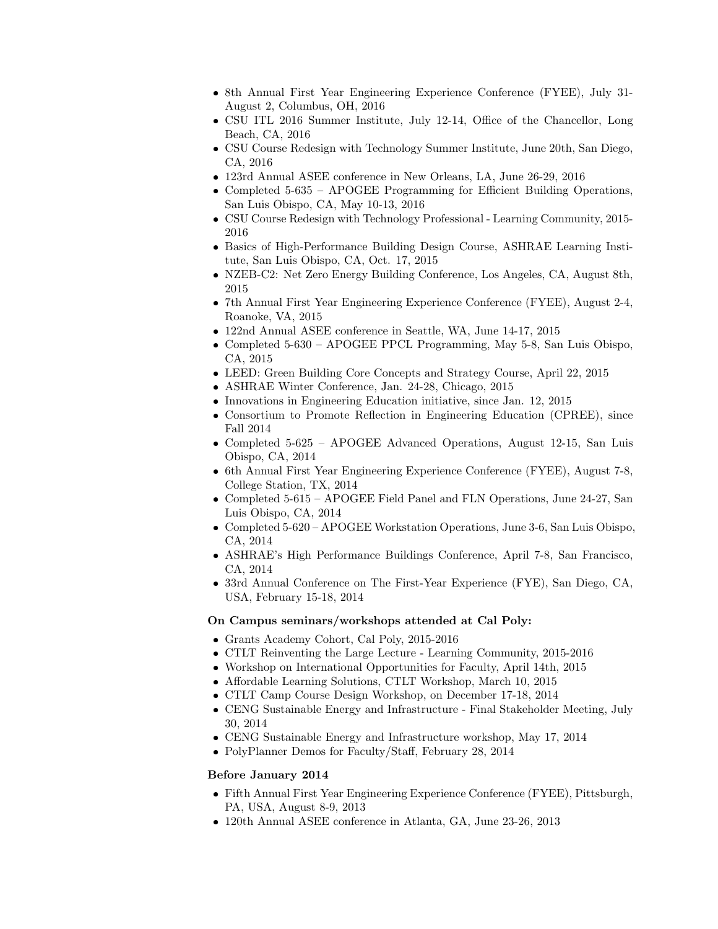- 8th Annual First Year Engineering Experience Conference (FYEE), July 31- August 2, Columbus, OH, 2016
- CSU ITL 2016 Summer Institute, July 12-14, Office of the Chancellor, Long Beach, CA, 2016
- CSU Course Redesign with Technology Summer Institute, June 20th, San Diego, CA, 2016
- 123rd Annual ASEE conference in New Orleans, LA, June 26-29, 2016
- Completed 5-635 APOGEE Programming for Efficient Building Operations, San Luis Obispo, CA, May 10-13, 2016
- CSU Course Redesign with Technology Professional Learning Community, 2015- 2016
- Basics of High-Performance Building Design Course, ASHRAE Learning Institute, San Luis Obispo, CA, Oct. 17, 2015
- NZEB-C2: Net Zero Energy Building Conference, Los Angeles, CA, August 8th, 2015
- 7th Annual First Year Engineering Experience Conference (FYEE), August 2-4, Roanoke, VA, 2015
- 122nd Annual ASEE conference in Seattle, WA, June 14-17, 2015
- Completed 5-630 APOGEE PPCL Programming, May 5-8, San Luis Obispo, CA, 2015
- LEED: Green Building Core Concepts and Strategy Course, April 22, 2015
- ASHRAE Winter Conference, Jan. 24-28, Chicago, 2015
- Innovations in Engineering Education initiative, since Jan. 12, 2015
- Consortium to Promote Reflection in Engineering Education (CPREE), since Fall 2014
- Completed 5-625 APOGEE Advanced Operations, August 12-15, San Luis Obispo, CA, 2014
- 6th Annual First Year Engineering Experience Conference (FYEE), August 7-8, College Station, TX, 2014
- Completed 5-615 APOGEE Field Panel and FLN Operations, June 24-27, San Luis Obispo, CA, 2014
- Completed 5-620 APOGEE Workstation Operations, June 3-6, San Luis Obispo, CA, 2014
- ASHRAE's High Performance Buildings Conference, April 7-8, San Francisco, CA, 2014
- 33rd Annual Conference on The First-Year Experience (FYE), San Diego, CA, USA, February 15-18, 2014

#### On Campus seminars/workshops attended at Cal Poly:

- Grants Academy Cohort, Cal Poly, 2015-2016
- CTLT Reinventing the Large Lecture Learning Community, 2015-2016
- Workshop on International Opportunities for Faculty, April 14th, 2015
- Affordable Learning Solutions, CTLT Workshop, March 10, 2015
- CTLT Camp Course Design Workshop, on December 17-18, 2014
- CENG Sustainable Energy and Infrastructure Final Stakeholder Meeting, July 30, 2014
- CENG Sustainable Energy and Infrastructure workshop, May 17, 2014
- PolyPlanner Demos for Faculty/Staff, February 28, 2014

### Before January 2014

- Fifth Annual First Year Engineering Experience Conference (FYEE), Pittsburgh, PA, USA, August 8-9, 2013
- 120th Annual ASEE conference in Atlanta, GA, June 23-26, 2013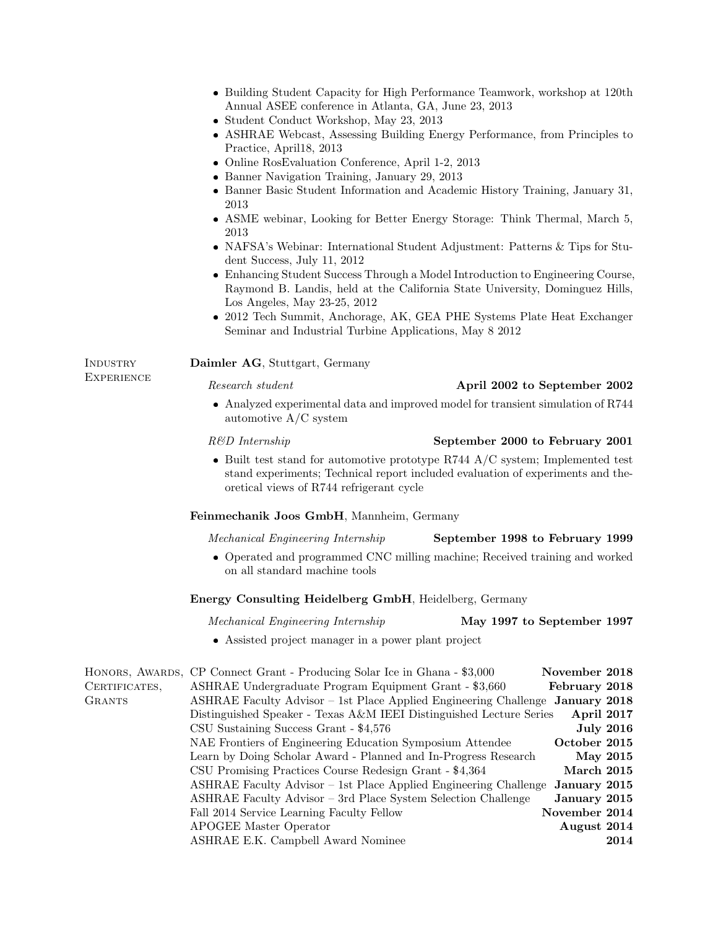| • Building Student Capacity for High Performance Teamwork, workshop at 120th |  |
|------------------------------------------------------------------------------|--|
| Annual ASEE conference in Atlanta, GA, June 23, 2013                         |  |

- Student Conduct Workshop, May 23, 2013
- ASHRAE Webcast, Assessing Building Energy Performance, from Principles to Practice, April18, 2013
- Online RosEvaluation Conference, April 1-2, 2013
- Banner Navigation Training, January 29, 2013
- Banner Basic Student Information and Academic History Training, January 31, 2013
- ASME webinar, Looking for Better Energy Storage: Think Thermal, March 5, 2013
- NAFSA's Webinar: International Student Adjustment: Patterns & Tips for Student Success, July 11, 2012
- Enhancing Student Success Through a Model Introduction to Engineering Course, Raymond B. Landis, held at the California State University, Dominguez Hills, Los Angeles, May 23-25, 2012
- 2012 Tech Summit, Anchorage, AK, GEA PHE Systems Plate Heat Exchanger Seminar and Industrial Turbine Applications, May 8 2012

### INDUSTRY Daimler AG, Stuttgart, Germany

**EXPERIENCE** 

# Research student April 2002 to September 2002

 Analyzed experimental data and improved model for transient simulation of R744 automotive A/C system

### R&D Internship September 2000 to February 2001

 $\bullet$  Built test stand for automotive prototype R744  $A/C$  system; Implemented test stand experiments; Technical report included evaluation of experiments and theoretical views of R744 refrigerant cycle

### Feinmechanik Joos GmbH, Mannheim, Germany

Mechanical Engineering Internship September 1998 to February 1999

 Operated and programmed CNC milling machine; Received training and worked on all standard machine tools

# Energy Consulting Heidelberg GmbH, Heidelberg, Germany

| <i>Mechanical Engineering Internship</i> | May 1997 to September 1997 |  |
|------------------------------------------|----------------------------|--|
|------------------------------------------|----------------------------|--|

#### Assisted project manager in a power plant project

|               | HONORS, AWARDS, CP Connect Grant - Producing Solar Ice in Ghana - \$3,000     | November 2018 |                  |
|---------------|-------------------------------------------------------------------------------|---------------|------------------|
| CERTIFICATES, | ASHRAE Undergraduate Program Equipment Grant - \$3,660                        | February 2018 |                  |
| <b>GRANTS</b> | ASHRAE Faculty Advisor - 1st Place Applied Engineering Challenge January 2018 |               |                  |
|               | Distinguished Speaker - Texas A&M IEEI Distinguished Lecture Series           | April 2017    |                  |
|               | CSU Sustaining Success Grant - \$4,576                                        |               | <b>July 2016</b> |
|               | NAE Frontiers of Engineering Education Symposium Attendee                     | October 2015  |                  |
|               | Learn by Doing Scholar Award - Planned and In-Progress Research               |               | May 2015         |
|               | CSU Promising Practices Course Redesign Grant - \$4,364                       | March 2015    |                  |
|               | ASHRAE Faculty Advisor – 1st Place Applied Engineering Challenge              | January 2015  |                  |
|               | ASHRAE Faculty Advisor - 3rd Place System Selection Challenge                 | January 2015  |                  |
|               | Fall 2014 Service Learning Faculty Fellow                                     | November 2014 |                  |
|               | <b>APOGEE Master Operator</b>                                                 | August 2014   |                  |
|               | ASHRAE E.K. Campbell Award Nominee                                            |               | 2014             |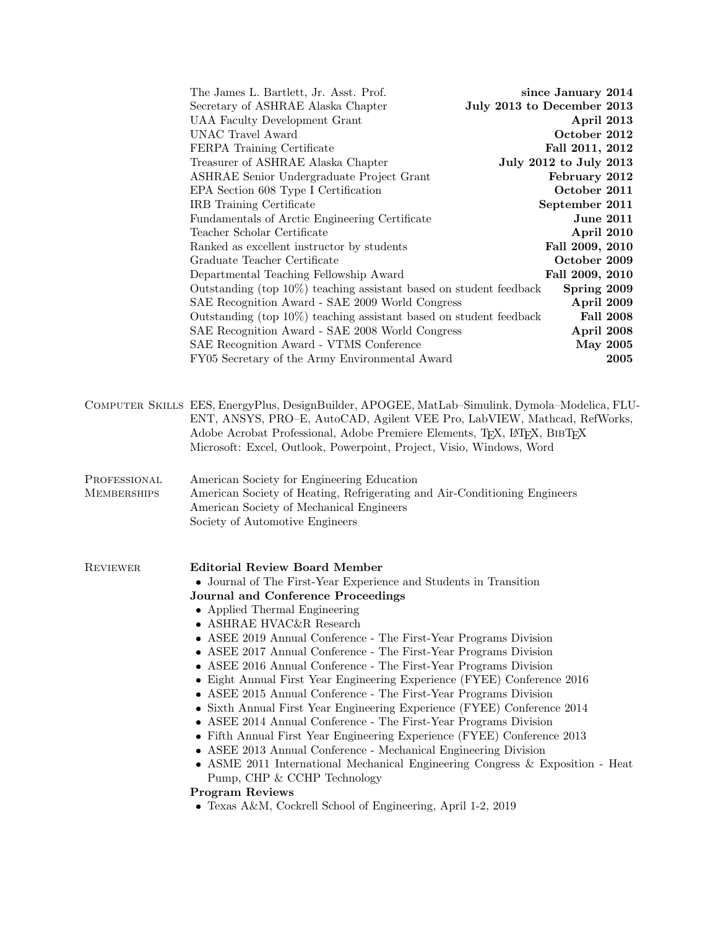|                                    | The James L. Bartlett, Jr. Asst. Prof.                                                                                                                                                                                                                                                                                                                                                                                                                                                                                                                                                                                                                                                                                                                                                                                                                                                                                                                                                                                      | since January 2014         |
|------------------------------------|-----------------------------------------------------------------------------------------------------------------------------------------------------------------------------------------------------------------------------------------------------------------------------------------------------------------------------------------------------------------------------------------------------------------------------------------------------------------------------------------------------------------------------------------------------------------------------------------------------------------------------------------------------------------------------------------------------------------------------------------------------------------------------------------------------------------------------------------------------------------------------------------------------------------------------------------------------------------------------------------------------------------------------|----------------------------|
|                                    | Secretary of ASHRAE Alaska Chapter                                                                                                                                                                                                                                                                                                                                                                                                                                                                                                                                                                                                                                                                                                                                                                                                                                                                                                                                                                                          | July 2013 to December 2013 |
|                                    | <b>UAA Faculty Development Grant</b>                                                                                                                                                                                                                                                                                                                                                                                                                                                                                                                                                                                                                                                                                                                                                                                                                                                                                                                                                                                        | April 2013                 |
|                                    | <b>UNAC Travel Award</b>                                                                                                                                                                                                                                                                                                                                                                                                                                                                                                                                                                                                                                                                                                                                                                                                                                                                                                                                                                                                    | October 2012               |
|                                    | FERPA Training Certificate                                                                                                                                                                                                                                                                                                                                                                                                                                                                                                                                                                                                                                                                                                                                                                                                                                                                                                                                                                                                  | Fall 2011, 2012            |
|                                    | Treasurer of ASHRAE Alaska Chapter                                                                                                                                                                                                                                                                                                                                                                                                                                                                                                                                                                                                                                                                                                                                                                                                                                                                                                                                                                                          | July 2012 to July 2013     |
|                                    | ASHRAE Senior Undergraduate Project Grant                                                                                                                                                                                                                                                                                                                                                                                                                                                                                                                                                                                                                                                                                                                                                                                                                                                                                                                                                                                   | February 2012              |
|                                    | EPA Section 608 Type I Certification                                                                                                                                                                                                                                                                                                                                                                                                                                                                                                                                                                                                                                                                                                                                                                                                                                                                                                                                                                                        | October 2011               |
|                                    | IRB Training Certificate                                                                                                                                                                                                                                                                                                                                                                                                                                                                                                                                                                                                                                                                                                                                                                                                                                                                                                                                                                                                    | September 2011             |
|                                    | Fundamentals of Arctic Engineering Certificate                                                                                                                                                                                                                                                                                                                                                                                                                                                                                                                                                                                                                                                                                                                                                                                                                                                                                                                                                                              | <b>June 2011</b>           |
|                                    | Teacher Scholar Certificate                                                                                                                                                                                                                                                                                                                                                                                                                                                                                                                                                                                                                                                                                                                                                                                                                                                                                                                                                                                                 | April 2010                 |
|                                    | Ranked as excellent instructor by students                                                                                                                                                                                                                                                                                                                                                                                                                                                                                                                                                                                                                                                                                                                                                                                                                                                                                                                                                                                  | Fall 2009, 2010            |
|                                    | Graduate Teacher Certificate                                                                                                                                                                                                                                                                                                                                                                                                                                                                                                                                                                                                                                                                                                                                                                                                                                                                                                                                                                                                | October 2009               |
|                                    | Departmental Teaching Fellowship Award                                                                                                                                                                                                                                                                                                                                                                                                                                                                                                                                                                                                                                                                                                                                                                                                                                                                                                                                                                                      | Fall 2009, 2010            |
|                                    | Outstanding (top $10\%$ ) teaching assistant based on student feedback                                                                                                                                                                                                                                                                                                                                                                                                                                                                                                                                                                                                                                                                                                                                                                                                                                                                                                                                                      | Spring 2009                |
|                                    | SAE Recognition Award - SAE 2009 World Congress                                                                                                                                                                                                                                                                                                                                                                                                                                                                                                                                                                                                                                                                                                                                                                                                                                                                                                                                                                             | April 2009                 |
|                                    | Outstanding (top 10%) teaching assistant based on student feedback                                                                                                                                                                                                                                                                                                                                                                                                                                                                                                                                                                                                                                                                                                                                                                                                                                                                                                                                                          | <b>Fall 2008</b>           |
|                                    | SAE Recognition Award - SAE 2008 World Congress                                                                                                                                                                                                                                                                                                                                                                                                                                                                                                                                                                                                                                                                                                                                                                                                                                                                                                                                                                             | April 2008                 |
|                                    | SAE Recognition Award - VTMS Conference                                                                                                                                                                                                                                                                                                                                                                                                                                                                                                                                                                                                                                                                                                                                                                                                                                                                                                                                                                                     | <b>May 2005</b>            |
|                                    | FY05 Secretary of the Army Environmental Award                                                                                                                                                                                                                                                                                                                                                                                                                                                                                                                                                                                                                                                                                                                                                                                                                                                                                                                                                                              | 2005                       |
|                                    | COMPUTER SKILLS EES, EnergyPlus, DesignBuilder, APOGEE, MatLab-Simulink, Dymola-Modelica, FLU-<br>ENT, ANSYS, PRO-E, AutoCAD, Agilent VEE Pro, LabVIEW, Mathcad, RefWorks,<br>Adobe Acrobat Professional, Adobe Premiere Elements, T <sub>F</sub> X, L <sup>T</sup> F <sub>K</sub> , BIBT <sub>F</sub> X                                                                                                                                                                                                                                                                                                                                                                                                                                                                                                                                                                                                                                                                                                                    |                            |
|                                    | Microsoft: Excel, Outlook, Powerpoint, Project, Visio, Windows, Word                                                                                                                                                                                                                                                                                                                                                                                                                                                                                                                                                                                                                                                                                                                                                                                                                                                                                                                                                        |                            |
| PROFESSIONAL<br><b>MEMBERSHIPS</b> | American Society for Engineering Education<br>American Society of Heating, Refrigerating and Air-Conditioning Engineers<br>American Society of Mechanical Engineers<br>Society of Automotive Engineers                                                                                                                                                                                                                                                                                                                                                                                                                                                                                                                                                                                                                                                                                                                                                                                                                      |                            |
| <b>REVIEWER</b>                    | <b>Editorial Review Board Member</b><br>$\bullet\,$ Journal of The First-Year Experience and Students in Transition<br>Journal and Conference Proceedings<br>• Applied Thermal Engineering<br>• ASHRAE HVAC&R Research<br>• ASEE 2019 Annual Conference - The First-Year Programs Division<br>• ASEE 2017 Annual Conference - The First-Year Programs Division<br>• ASEE 2016 Annual Conference - The First-Year Programs Division<br>• Eight Annual First Year Engineering Experience (FYEE) Conference 2016<br>• ASEE 2015 Annual Conference - The First-Year Programs Division<br>• Sixth Annual First Year Engineering Experience (FYEE) Conference 2014<br>• ASEE 2014 Annual Conference - The First-Year Programs Division<br>• Fifth Annual First Year Engineering Experience (FYEE) Conference 2013<br>• ASEE 2013 Annual Conference - Mechanical Engineering Division<br>• ASME 2011 International Mechanical Engineering Congress $\&$ Exposition - Heat<br>Pump, CHP & CCHP Technology<br><b>Program Reviews</b> |                            |
|                                    | • Texas A&M, Cockrell School of Engineering, April 1-2, 2019                                                                                                                                                                                                                                                                                                                                                                                                                                                                                                                                                                                                                                                                                                                                                                                                                                                                                                                                                                |                            |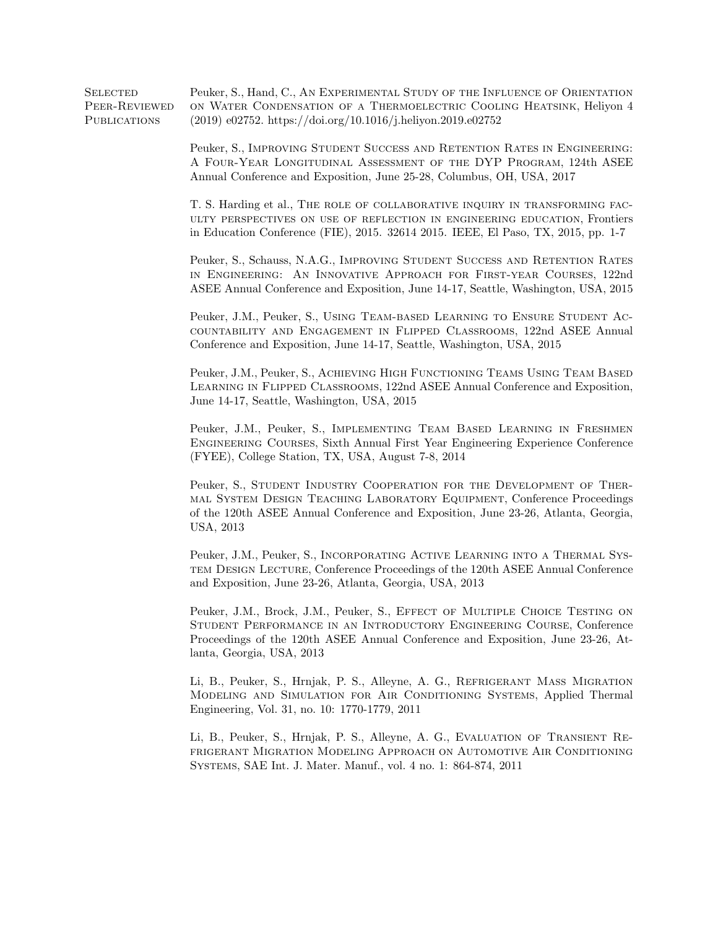SELECTED Peuker, S., Hand, C., AN EXPERIMENTAL STUDY OF THE INFLUENCE OF ORIENTATION Peer-Reviewed **PUBLICATIONS** on Water Condensation of a Thermoelectric Cooling Heatsink, Heliyon 4 (2019) e02752. https://doi.org/10.1016/j.heliyon.2019.e02752

> Peuker, S., Improving Student Success and Retention Rates in Engineering: A Four-Year Longitudinal Assessment of the DYP Program, 124th ASEE Annual Conference and Exposition, June 25-28, Columbus, OH, USA, 2017

> T. S. Harding et al., The role of collaborative inquiry in transforming faculty perspectives on use of reflection in engineering education, Frontiers in Education Conference (FIE), 2015. 32614 2015. IEEE, El Paso, TX, 2015, pp. 1-7

> Peuker, S., Schauss, N.A.G., Improving Student Success and Retention Rates in Engineering: An Innovative Approach for First-year Courses, 122nd ASEE Annual Conference and Exposition, June 14-17, Seattle, Washington, USA, 2015

> Peuker, J.M., Peuker, S., Using Team-based Learning to Ensure Student Accountability and Engagement in Flipped Classrooms, 122nd ASEE Annual Conference and Exposition, June 14-17, Seattle, Washington, USA, 2015

> Peuker, J.M., Peuker, S., Achieving High Functioning Teams Using Team Based Learning in Flipped Classrooms, 122nd ASEE Annual Conference and Exposition, June 14-17, Seattle, Washington, USA, 2015

> Peuker, J.M., Peuker, S., Implementing Team Based Learning in Freshmen Engineering Courses, Sixth Annual First Year Engineering Experience Conference (FYEE), College Station, TX, USA, August 7-8, 2014

> Peuker, S., STUDENT INDUSTRY COOPERATION FOR THE DEVELOPMENT OF THERmal System Design Teaching Laboratory Equipment, Conference Proceedings of the 120th ASEE Annual Conference and Exposition, June 23-26, Atlanta, Georgia, USA, 2013

> Peuker, J.M., Peuker, S., Incorporating Active Learning into a Thermal System Design Lecture, Conference Proceedings of the 120th ASEE Annual Conference and Exposition, June 23-26, Atlanta, Georgia, USA, 2013

> Peuker, J.M., Brock, J.M., Peuker, S., EFFECT OF MULTIPLE CHOICE TESTING ON Student Performance in an Introductory Engineering Course, Conference Proceedings of the 120th ASEE Annual Conference and Exposition, June 23-26, Atlanta, Georgia, USA, 2013

> Li, B., Peuker, S., Hrnjak, P. S., Alleyne, A. G., Refrigerant Mass Migration Modeling and Simulation for Air Conditioning Systems, Applied Thermal Engineering, Vol. 31, no. 10: 1770-1779, 2011

> Li, B., Peuker, S., Hrnjak, P. S., Alleyne, A. G., Evaluation of Transient Refrigerant Migration Modeling Approach on Automotive Air Conditioning Systems, SAE Int. J. Mater. Manuf., vol. 4 no. 1: 864-874, 2011